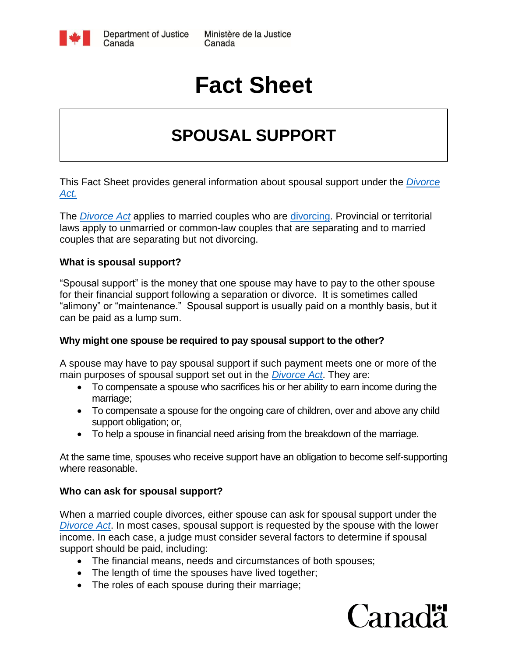

# **Fact Sheet**

## **SPOUSAL SUPPORT**

This Fact Sheet provides general information about spousal support under the *[Divorce](http://laws-lois.justice.gc.ca/eng/acts/D-3.4/index.html)  [Act.](http://laws-lois.justice.gc.ca/eng/acts/D-3.4/index.html)*

The *[Divorce Act](http://laws-lois.justice.gc.ca/eng/acts/D-3.4/index.html)* applies to married couples who are [divorcing.](http://www.justice.gc.ca/eng/fl-df/divorce/app.html) Provincial or territorial laws apply to unmarried or common-law couples that are separating and to married couples that are separating but not divorcing.

#### **What is spousal support?**

"Spousal support" is the money that one spouse may have to pay to the other spouse for their financial support following a separation or divorce. It is sometimes called "alimony" or "maintenance." Spousal support is usually paid on a monthly basis, but it can be paid as a lump sum.

#### **Why might one spouse be required to pay spousal support to the other?**

A spouse may have to pay spousal support if such payment meets one or more of the main purposes of spousal support set out in the *[Divorce Act](http://laws-lois.justice.gc.ca/eng/acts/D-3.4/index.html)*. They are:

- To compensate a spouse who sacrifices his or her ability to earn income during the marriage;
- To compensate a spouse for the ongoing care of children, over and above any child support obligation; or,
- To help a spouse in financial need arising from the breakdown of the marriage.

At the same time, spouses who receive support have an obligation to become self-supporting where reasonable.

#### **Who can ask for spousal support?**

When a married couple divorces, either spouse can ask for spousal support under the *[Divorce Act](http://laws-lois.justice.gc.ca/eng/acts/D-3.4/index.html)*. In most cases, spousal support is requested by the spouse with the lower income. In each case, a judge must consider several factors to determine if spousal support should be paid, including:

- The financial means, needs and circumstances of both spouses;
- The length of time the spouses have lived together;
- The roles of each spouse during their marriage;

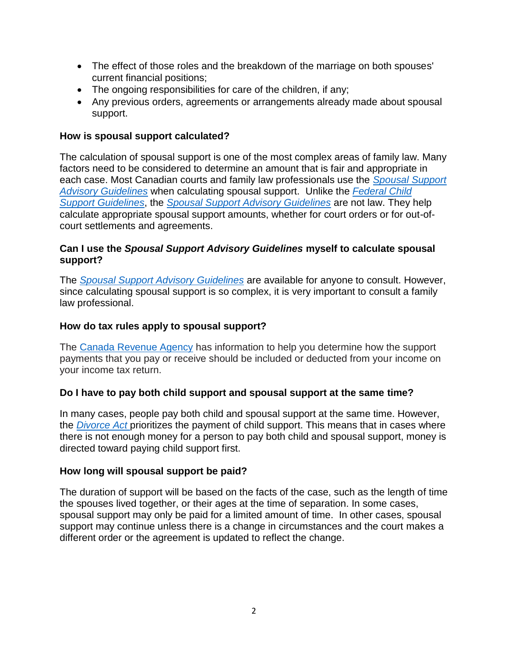- The effect of those roles and the breakdown of the marriage on both spouses' current financial positions;
- The ongoing responsibilities for care of the children, if any;
- Any previous orders, agreements or arrangements already made about spousal support.

#### **How is spousal support calculated?**

The calculation of spousal support is one of the most complex areas of family law. Many factors need to be considered to determine an amount that is fair and appropriate in each case. Most Canadian courts and family law professionals use the *[Spousal Support](http://www.justice.gc.ca/eng/fl-df/spousal-epoux/ssag-ldfpae.html)  [Advisory Guidelines](http://www.justice.gc.ca/eng/fl-df/spousal-epoux/ssag-ldfpae.html)* when calculating spousal support. Unlike the *[Federal Child](http://www.justice.gc.ca/eng/rp-pr/fl-lf/child-enfant/guide/toc-tdm.html)  [Support Guidelines](http://www.justice.gc.ca/eng/rp-pr/fl-lf/child-enfant/guide/toc-tdm.html)*, the *[Spousal Support Advisory Guidelines](http://www.justice.gc.ca/eng/fl-df/spousal-epoux/ssag-ldfpae.html)* are not law. They help calculate appropriate spousal support amounts, whether for court orders or for out-ofcourt settlements and agreements.

#### **Can I use the** *Spousal Support Advisory Guidelines* **myself to calculate spousal support?**

The *[Spousal Support Advisory Guidelines](http://www.justice.gc.ca/eng/fl-df/spousal-epoux/ssag-ldfpae.html)* are available for anyone to consult. However, since calculating spousal support is so complex, it is very important to consult a family law professional.

#### **How do tax rules apply to spousal support?**

The [Canada Revenue Agency](http://www.cra-arc.gc.ca/supportpayments/) has information to help you determine how the support payments that you pay or receive should be included or deducted from your income on your income tax return.

#### **Do I have to pay both child support and spousal support at the same time?**

In many cases, people pay both child and spousal support at the same time. However, the *[Divorce Act](http://laws-lois.justice.gc.ca/eng/acts/D-3.4/index.html)* prioritizes the payment of child support. This means that in cases where there is not enough money for a person to pay both child and spousal support, money is directed toward paying child support first.

#### **How long will spousal support be paid?**

The duration of support will be based on the facts of the case, such as the length of time the spouses lived together, or their ages at the time of separation. In some cases, spousal support may only be paid for a limited amount of time. In other cases, spousal support may continue unless there is a change in circumstances and the court makes a different order or the agreement is updated to reflect the change.